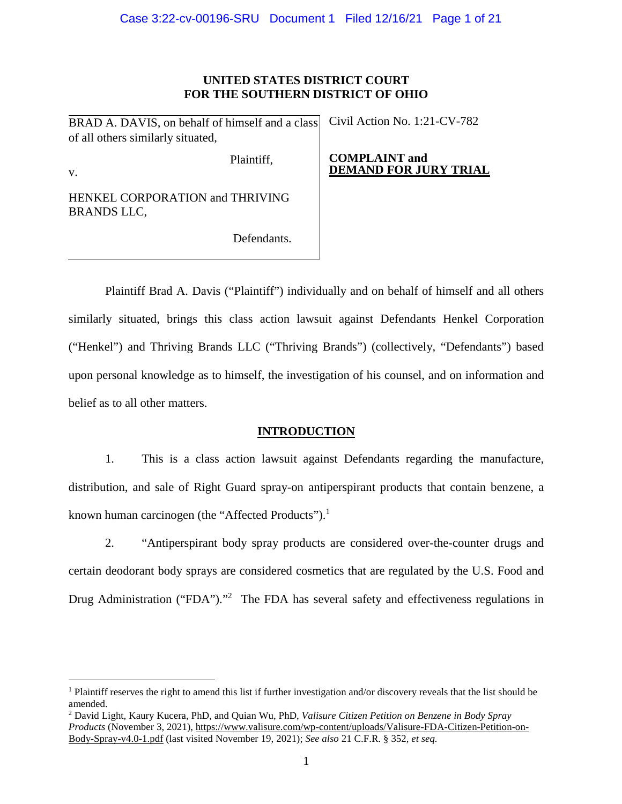# **UNITED STATES DISTRICT COURT FOR THE SOUTHERN DISTRICT OF OHIO**

BRAD A. DAVIS, on behalf of himself and a class of all others similarly situated,

Civil Action No. 1:21-CV-782

v.

 $\overline{a}$ 

Plaintiff,

**COMPLAINT and DEMAND FOR JURY TRIAL** 

HENKEL CORPORATION and THRIVING BRANDS LLC,

Defendants.

Plaintiff Brad A. Davis ("Plaintiff") individually and on behalf of himself and all others similarly situated, brings this class action lawsuit against Defendants Henkel Corporation ("Henkel") and Thriving Brands LLC ("Thriving Brands") (collectively, "Defendants") based upon personal knowledge as to himself, the investigation of his counsel, and on information and belief as to all other matters.

# **INTRODUCTION**

1. This is a class action lawsuit against Defendants regarding the manufacture, distribution, and sale of Right Guard spray-on antiperspirant products that contain benzene, a known human carcinogen (the "Affected Products").<sup>1</sup>

2. "Antiperspirant body spray products are considered over-the-counter drugs and certain deodorant body sprays are considered cosmetics that are regulated by the U.S. Food and Drug Administration ("FDA")."<sup>2</sup> The FDA has several safety and effectiveness regulations in

<sup>&</sup>lt;sup>1</sup> Plaintiff reserves the right to amend this list if further investigation and/or discovery reveals that the list should be amended.

<sup>2</sup> David Light, Kaury Kucera, PhD, and Quian Wu, PhD, *Valisure Citizen Petition on Benzene in Body Spray Products* (November 3, 2021)[, https://www.valisure.com/wp-content/uploads/Valisure-FDA-Citizen-Petition-on-](https://www.valisure.com/wp-content/uploads/Valisure-Citizen-Petition-on-Benzene-in-Sunscreen-and-After-sun-Care-Products-v9.7.pdf)[Body-Spray-v4.0-1.pdf](https://www.valisure.com/wp-content/uploads/Valisure-Citizen-Petition-on-Benzene-in-Sunscreen-and-After-sun-Care-Products-v9.7.pdf) (last visited November 19, 2021); *See also* 21 C.F.R. § 352, *et seq.*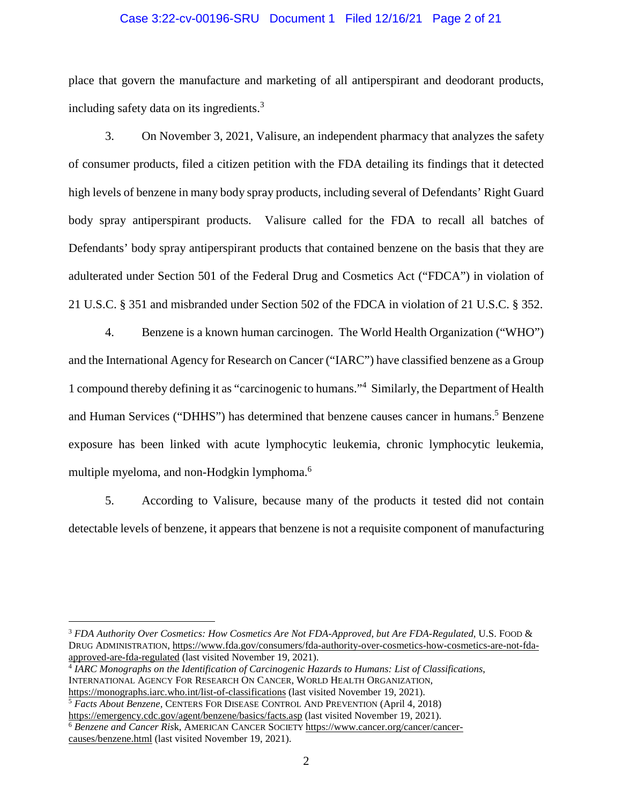### Case 3:22-cv-00196-SRU Document 1 Filed 12/16/21 Page 2 of 21

place that govern the manufacture and marketing of all antiperspirant and deodorant products, including safety data on its ingredients. $3$ 

3. On November 3, 2021, Valisure, an independent pharmacy that analyzes the safety of consumer products, filed a citizen petition with the FDA detailing its findings that it detected high levels of benzene in many body spray products, including several of Defendants' Right Guard body spray antiperspirant products. Valisure called for the FDA to recall all batches of Defendants' body spray antiperspirant products that contained benzene on the basis that they are adulterated under Section 501 of the Federal Drug and Cosmetics Act ("FDCA") in violation of 21 U.S.C. § 351 and misbranded under Section 502 of the FDCA in violation of 21 U.S.C. § 352.

4. Benzene is a known human carcinogen. The World Health Organization ("WHO") and the International Agency for Research on Cancer ("IARC") have classified benzene as a Group 1 compound thereby defining it as "carcinogenic to humans."<sup>4</sup> Similarly, the Department of Health and Human Services ("DHHS") has determined that benzene causes cancer in humans.<sup>5</sup> Benzene exposure has been linked with acute lymphocytic leukemia, chronic lymphocytic leukemia, multiple myeloma, and non-Hodgkin lymphoma.<sup>6</sup>

5. According to Valisure, because many of the products it tested did not contain detectable levels of benzene, it appears that benzene is not a requisite component of manufacturing

<sup>3</sup> *FDA Authority Over Cosmetics: How Cosmetics Are Not FDA-Approved, but Are FDA-Regulated*, U.S. FOOD & DRUG ADMINISTRATION, [https://www.fda.gov/consumers/fda-authority-over-cosmetics-how-cosmetics-are-not-fda](https://www.fda.gov/consumers/fda-authority-over-cosmetics-how-cosmetics-are-not-fda-approved-are-fda-regulated)[approved-are-fda-regulated](https://www.fda.gov/consumers/fda-authority-over-cosmetics-how-cosmetics-are-not-fda-approved-are-fda-regulated) (last visited November 19, 2021).

<sup>4</sup> *IARC Monographs on the Identification of Carcinogenic Hazards to Humans: List of Classifications*, INTERNATIONAL AGENCY FOR RESEARCH ON CANCER, WORLD HEALTH ORGANIZATION, <https://monographs.iarc.who.int/list-of-classifications>(last visited November 19, 2021).

<sup>5</sup> *Facts About Benzene,* CENTERS FOR DISEASE CONTROL AND PREVENTION (April 4, 2018) <https://emergency.cdc.gov/agent/benzene/basics/facts.asp>(last visited November 19, 2021).

<sup>6</sup> *Benzene and Cancer Ris*k, AMERICAN CANCER SOCIETY [https://www.cancer.org/cancer/cancer](https://www.cancer.org/cancer/cancer-causes/benzene.html)[causes/benzene.html](https://www.cancer.org/cancer/cancer-causes/benzene.html) (last visited November 19, 2021).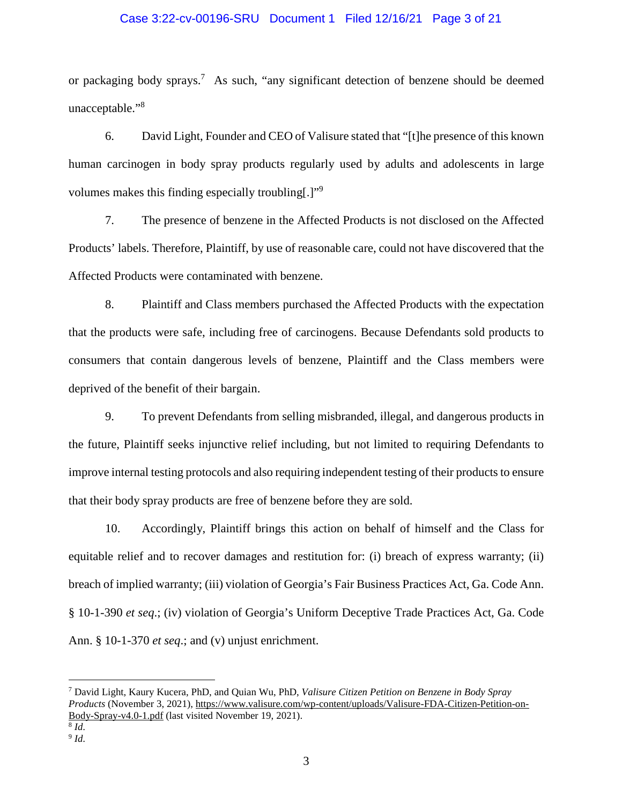### Case 3:22-cv-00196-SRU Document 1 Filed 12/16/21 Page 3 of 21

or packaging body sprays.<sup>7</sup> As such, "any significant detection of benzene should be deemed unacceptable."<sup>8</sup>

6. David Light, Founder and CEO of Valisure stated that "[t]he presence of this known human carcinogen in body spray products regularly used by adults and adolescents in large volumes makes this finding especially troubling[.]"<sup>9</sup>

7. The presence of benzene in the Affected Products is not disclosed on the Affected Products' labels. Therefore, Plaintiff, by use of reasonable care, could not have discovered that the Affected Products were contaminated with benzene.

8. Plaintiff and Class members purchased the Affected Products with the expectation that the products were safe, including free of carcinogens. Because Defendants sold products to consumers that contain dangerous levels of benzene, Plaintiff and the Class members were deprived of the benefit of their bargain.

9. To prevent Defendants from selling misbranded, illegal, and dangerous products in the future, Plaintiff seeks injunctive relief including, but not limited to requiring Defendants to improve internal testing protocols and also requiring independent testing of their products to ensure that their body spray products are free of benzene before they are sold.

10. Accordingly, Plaintiff brings this action on behalf of himself and the Class for equitable relief and to recover damages and restitution for: (i) breach of express warranty; (ii) breach of implied warranty; (iii) violation of Georgia's Fair Business Practices Act, Ga. Code Ann. § 10-1-390 *et seq*.; (iv) violation of Georgia's Uniform Deceptive Trade Practices Act, Ga. Code Ann. § 10-1-370 *et seq*.; and (v) unjust enrichment.

<sup>7</sup> David Light, Kaury Kucera, PhD, and Quian Wu, PhD, *Valisure Citizen Petition on Benzene in Body Spray Products* (November 3, 2021)[, https://www.valisure.com/wp-content/uploads/Valisure-FDA-Citizen-Petition-on-](https://www.valisure.com/wp-content/uploads/Valisure-Citizen-Petition-on-Benzene-in-Sunscreen-and-After-sun-Care-Products-v9.7.pdf)[Body-Spray-v4.0-1.pdf](https://www.valisure.com/wp-content/uploads/Valisure-Citizen-Petition-on-Benzene-in-Sunscreen-and-After-sun-Care-Products-v9.7.pdf) (last visited November 19, 2021).

<sup>8</sup> *Id.* 

<sup>9</sup> *Id.*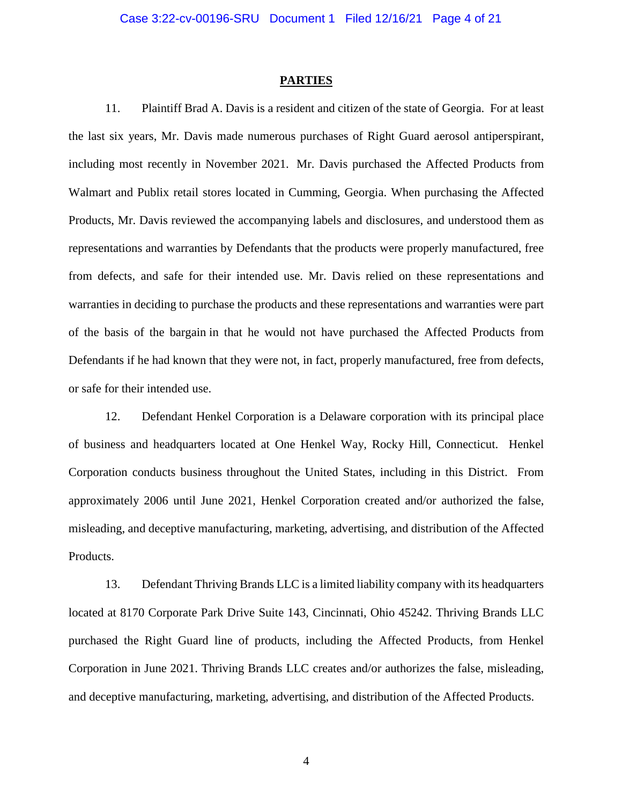### **PARTIES**

11. Plaintiff Brad A. Davis is a resident and citizen of the state of Georgia. For at least the last six years, Mr. Davis made numerous purchases of Right Guard aerosol antiperspirant, including most recently in November 2021. Mr. Davis purchased the Affected Products from Walmart and Publix retail stores located in Cumming, Georgia. When purchasing the Affected Products, Mr. Davis reviewed the accompanying labels and disclosures, and understood them as representations and warranties by Defendants that the products were properly manufactured, free from defects, and safe for their intended use. Mr. Davis relied on these representations and warranties in deciding to purchase the products and these representations and warranties were part of the basis of the bargain in that he would not have purchased the Affected Products from Defendants if he had known that they were not, in fact, properly manufactured, free from defects, or safe for their intended use.

12. Defendant Henkel Corporation is a Delaware corporation with its principal place of business and headquarters located at One Henkel Way, Rocky Hill, Connecticut. Henkel Corporation conducts business throughout the United States, including in this District. From approximately 2006 until June 2021, Henkel Corporation created and/or authorized the false, misleading, and deceptive manufacturing, marketing, advertising, and distribution of the Affected Products.

13. Defendant Thriving Brands LLC is a limited liability company with its headquarters located at 8170 Corporate Park Drive Suite 143, Cincinnati, Ohio 45242. Thriving Brands LLC purchased the Right Guard line of products, including the Affected Products, from Henkel Corporation in June 2021. Thriving Brands LLC creates and/or authorizes the false, misleading, and deceptive manufacturing, marketing, advertising, and distribution of the Affected Products.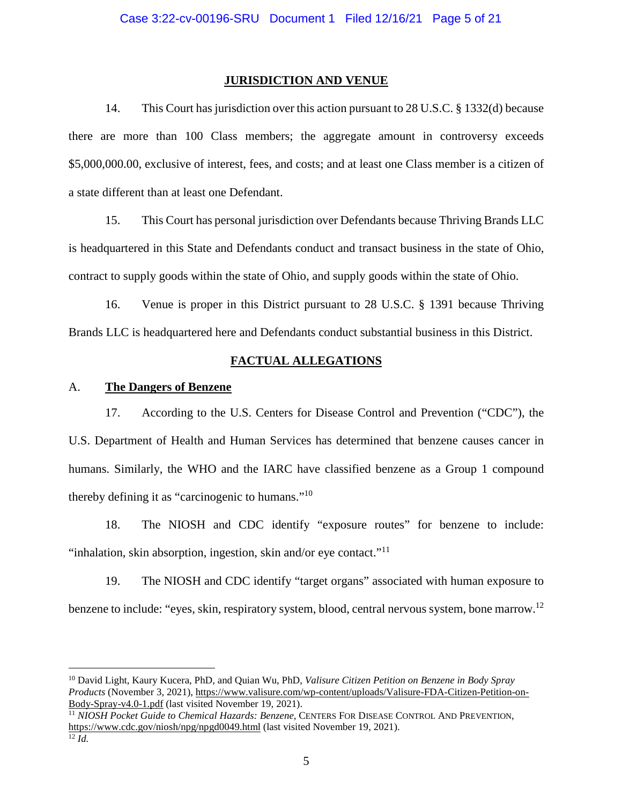### **JURISDICTION AND VENUE**

14. This Court has jurisdiction over this action pursuant to 28 U.S.C. § 1332(d) because there are more than 100 Class members; the aggregate amount in controversy exceeds \$5,000,000.00, exclusive of interest, fees, and costs; and at least one Class member is a citizen of a state different than at least one Defendant.

15. This Court has personal jurisdiction over Defendants because Thriving Brands LLC is headquartered in this State and Defendants conduct and transact business in the state of Ohio, contract to supply goods within the state of Ohio, and supply goods within the state of Ohio.

16. Venue is proper in this District pursuant to 28 U.S.C. § 1391 because Thriving Brands LLC is headquartered here and Defendants conduct substantial business in this District.

### **FACTUAL ALLEGATIONS**

### A. **The Dangers of Benzene**

17. According to the U.S. Centers for Disease Control and Prevention ("CDC"), the U.S. Department of Health and Human Services has determined that benzene causes cancer in humans. Similarly, the WHO and the IARC have classified benzene as a Group 1 compound thereby defining it as "carcinogenic to humans."<sup>10</sup>

18. The NIOSH and CDC identify "exposure routes" for benzene to include: "inhalation, skin absorption, ingestion, skin and/or eye contact."<sup>11</sup>

19. The NIOSH and CDC identify "target organs" associated with human exposure to benzene to include: "eyes, skin, respiratory system, blood, central nervous system, bone marrow.<sup>12</sup>

<sup>10</sup> David Light, Kaury Kucera, PhD, and Quian Wu, PhD, *Valisure Citizen Petition on Benzene in Body Spray Products* (November 3, 2021)[, https://www.valisure.com/wp-content/uploads/Valisure-FDA-Citizen-Petition-on-](https://www.valisure.com/wp-content/uploads/Valisure-Citizen-Petition-on-Benzene-in-Sunscreen-and-After-sun-Care-Products-v9.7.pdf)[Body-Spray-v4.0-1.pdf](https://www.valisure.com/wp-content/uploads/Valisure-Citizen-Petition-on-Benzene-in-Sunscreen-and-After-sun-Care-Products-v9.7.pdf) (last visited November 19, 2021).

<sup>11</sup> *NIOSH Pocket Guide to Chemical Hazards: Benzene*, CENTERS FOR DISEASE CONTROL AND PREVENTION, <https://www.cdc.gov/niosh/npg/npgd0049.html>(last visited November 19, 2021).

 $\overline{12}$  *Id.*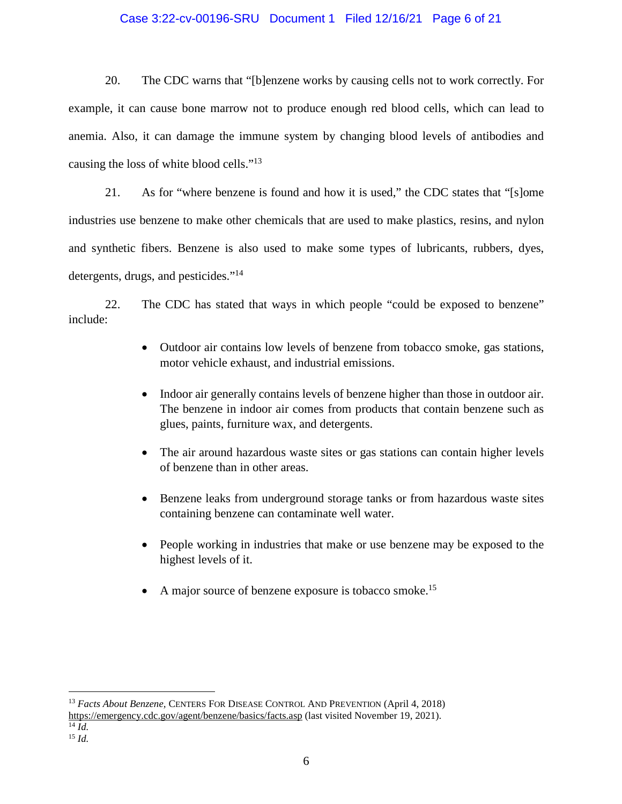# Case 3:22-cv-00196-SRU Document 1 Filed 12/16/21 Page 6 of 21

20. The CDC warns that "[b]enzene works by causing cells not to work correctly. For example, it can cause bone marrow not to produce enough red blood cells, which can lead to anemia. Also, it can damage the immune system by changing blood levels of antibodies and causing the loss of white blood cells."<sup>13</sup>

21. As for "where benzene is found and how it is used," the CDC states that "[s]ome industries use benzene to make other chemicals that are used to make plastics, resins, and nylon and synthetic fibers. Benzene is also used to make some types of lubricants, rubbers, dyes, detergents, drugs, and pesticides."<sup>14</sup>

22. The CDC has stated that ways in which people "could be exposed to benzene" include:

- Outdoor air contains low levels of benzene from tobacco smoke, gas stations, motor vehicle exhaust, and industrial emissions.
- Indoor air generally contains levels of benzene higher than those in outdoor air. The benzene in indoor air comes from products that contain benzene such as glues, paints, furniture wax, and detergents.
- The air around hazardous waste sites or gas stations can contain higher levels of benzene than in other areas.
- Benzene leaks from underground storage tanks or from hazardous waste sites containing benzene can contaminate well water.
- People working in industries that make or use benzene may be exposed to the highest levels of it.
- A major source of benzene exposure is tobacco smoke.<sup>15</sup>

<sup>13</sup> *Facts About Benzene,* CENTERS FOR DISEASE CONTROL AND PREVENTION (April 4, 2018) <https://emergency.cdc.gov/agent/benzene/basics/facts.asp>(last visited November 19, 2021).

<sup>14</sup> *Id.* 

 $15$  *Id.*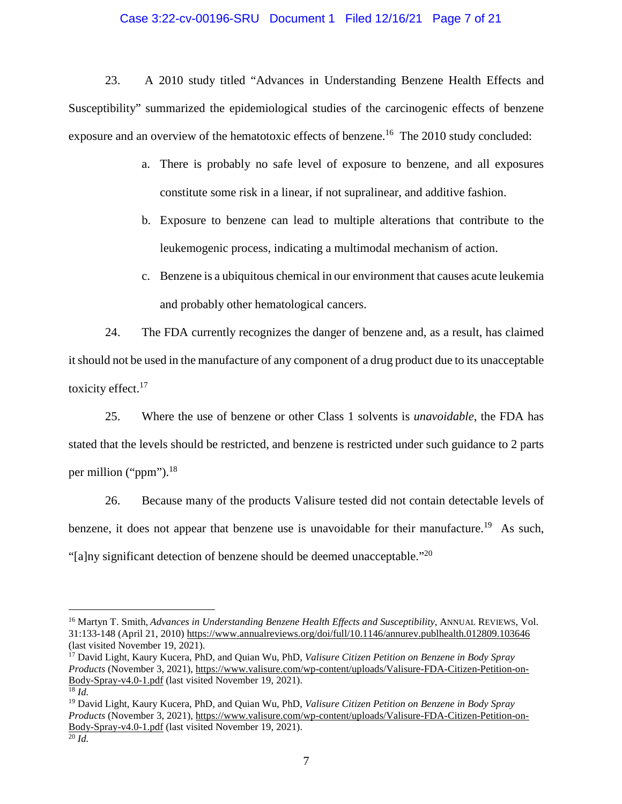### Case 3:22-cv-00196-SRU Document 1 Filed 12/16/21 Page 7 of 21

23. A 2010 study titled "Advances in Understanding Benzene Health Effects and Susceptibility" summarized the epidemiological studies of the carcinogenic effects of benzene exposure and an overview of the hematotoxic effects of benzene.<sup>16</sup> The 2010 study concluded:

- a. There is probably no safe level of exposure to benzene, and all exposures constitute some risk in a linear, if not supralinear, and additive fashion.
- b. Exposure to benzene can lead to multiple alterations that contribute to the leukemogenic process, indicating a multimodal mechanism of action.
- c. Benzene is a ubiquitous chemical in our environment that causes acute leukemia and probably other hematological cancers.

24. The FDA currently recognizes the danger of benzene and, as a result, has claimed it should not be used in the manufacture of any component of a drug product due to its unacceptable toxicity effect.<sup>17</sup>

25. Where the use of benzene or other Class 1 solvents is *unavoidable*, the FDA has stated that the levels should be restricted, and benzene is restricted under such guidance to 2 parts per million ("ppm"). $^{18}$ 

26. Because many of the products Valisure tested did not contain detectable levels of benzene, it does not appear that benzene use is unavoidable for their manufacture.<sup>19</sup> As such, "[a]ny significant detection of benzene should be deemed unacceptable."<sup>20</sup>

<sup>&</sup>lt;sup>16</sup> Martyn T. Smith, *Advances in Understanding Benzene Health Effects and Susceptibility*, ANNUAL REVIEWS, Vol. 31:133-148 (April 21, 2010) [https://www.annualreviews.org/doi/full/10.1146/annurev.publhealth.012809.103646](https://www.annualreviews.org/doi/full/10.1146/annurev.publhealth.012809.103646%20(last%20vistied%20July%2029) (last visited November 19, 2021).

<sup>17</sup> David Light, Kaury Kucera, PhD, and Quian Wu, PhD, *Valisure Citizen Petition on Benzene in Body Spray Products* (November 3, 2021)[, https://www.valisure.com/wp-content/uploads/Valisure-FDA-Citizen-Petition-on-](https://www.valisure.com/wp-content/uploads/Valisure-Citizen-Petition-on-Benzene-in-Sunscreen-and-After-sun-Care-Products-v9.7.pdf)[Body-Spray-v4.0-1.pdf](https://www.valisure.com/wp-content/uploads/Valisure-Citizen-Petition-on-Benzene-in-Sunscreen-and-After-sun-Care-Products-v9.7.pdf) (last visited November 19, 2021).  $\overline{^{18}$  *Id.* 

<sup>19</sup> David Light, Kaury Kucera, PhD, and Quian Wu, PhD, *Valisure Citizen Petition on Benzene in Body Spray Products* (November 3, 2021)[, https://www.valisure.com/wp-content/uploads/Valisure-FDA-Citizen-Petition-on-](https://www.valisure.com/wp-content/uploads/Valisure-Citizen-Petition-on-Benzene-in-Sunscreen-and-After-sun-Care-Products-v9.7.pdf)[Body-Spray-v4.0-1.pdf](https://www.valisure.com/wp-content/uploads/Valisure-Citizen-Petition-on-Benzene-in-Sunscreen-and-After-sun-Care-Products-v9.7.pdf) (last visited November 19, 2021).

 $\overline{^{20}}$ *Id.*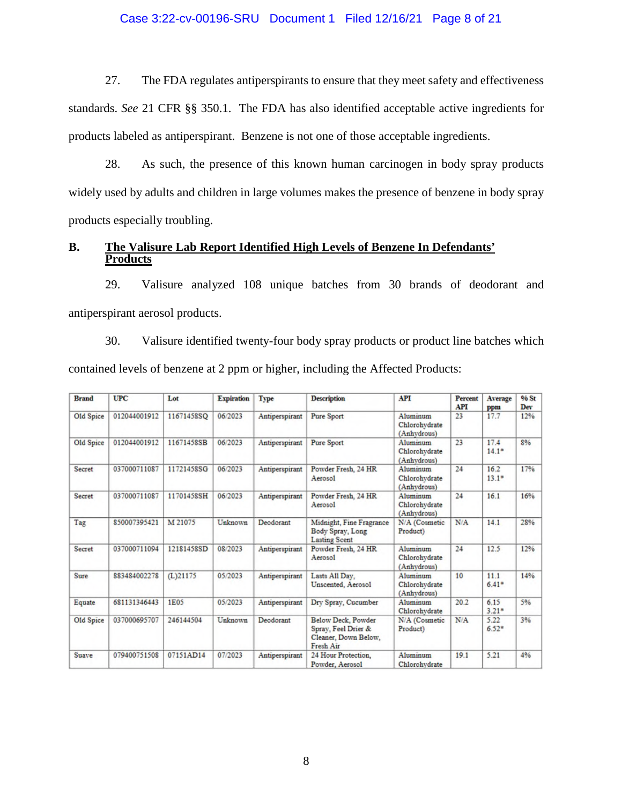### Case 3:22-cv-00196-SRU Document 1 Filed 12/16/21 Page 8 of 21

27. The FDA regulates antiperspirants to ensure that they meet safety and effectiveness standards. *See* 21 CFR §§ 350.1. The FDA has also identified acceptable active ingredients for products labeled as antiperspirant. Benzene is not one of those acceptable ingredients.

28. As such, the presence of this known human carcinogen in body spray products widely used by adults and children in large volumes makes the presence of benzene in body spray products especially troubling.

# **B. The Valisure Lab Report Identified High Levels of Benzene In Defendants' Products**

29. Valisure analyzed 108 unique batches from 30 brands of deodorant and antiperspirant aerosol products.

30. Valisure identified twenty-four body spray products or product line batches which contained levels of benzene at 2 ppm or higher, including the Affected Products:

| <b>UPC</b><br><b>Brand</b> |              | Lot         | <b>Expiration</b> | Type           | <b>Description</b>                                                             | <b>API</b>                               | <b>Percent</b><br><b>API</b> | Average<br>ppm  | <b>96 St</b><br>Dev |
|----------------------------|--------------|-------------|-------------------|----------------|--------------------------------------------------------------------------------|------------------------------------------|------------------------------|-----------------|---------------------|
| Old Spice                  | 012044001912 | 11671458SQ  | 06/2023           | Antiperspirant | <b>Pure Sport</b>                                                              | Aluminum<br>Chlorohydrate<br>(Anhydrous) | 23                           | 17.7            | 12%                 |
| Old Spice                  | 012044001912 | 11671458SB  | 06/2023           | Antiperspirant | Pure Sport                                                                     | Aluminum<br>Chlorohydrate<br>(Anhydrous) | 23                           | 17.4<br>$14.1*$ | 8%                  |
| Secret                     | 037000711087 | 11721458SG  | 06/2023           | Antiperspirant | Powder Fresh, 24 HR<br>Aerosol                                                 | Aluminum<br>Chlorohydrate<br>(Anhydrous) | 24                           | 16.2<br>$13.1*$ | 17%                 |
| Secret                     | 037000711087 | 11701458SH  | 06/2023           | Antiperspirant | Powder Fresh, 24 HR<br>Aerosol                                                 | Aluminum<br>Chlorohydrate<br>(Anhydrous) | 24                           | 16.1            | 16%                 |
| Tag                        | 850007395421 | M 21075     | Unknown           | Deodorant      | Midnight, Fine Fragrance<br>Body Spray, Long<br><b>Lasting Scent</b>           | N/A (Cosmetic<br>Product)                | N/A                          | 14.1            | 28%                 |
| Secret                     | 037000711094 | 12181458SD  | 08/2023           | Antiperspirant | Powder Fresh, 24 HR<br>Aerosol                                                 | Aluminum<br>Chlorohydrate<br>(Anhydrous) | 24                           | 12.5            | 12%                 |
| <b>Sure</b>                | 883484002278 | $(L)$ 21175 | 05/2023           | Antiperspirant | Lasts All Day,<br>Unscented, Aerosol                                           | Aluminum<br>Chlorohydrate<br>(Anhydrous) | 10                           | 11.1<br>$6.41*$ | 14%                 |
| Equate                     | 681131346443 | 1E05        | 05/2023           | Antiperspirant | Dry Spray, Cucumber                                                            | Aluminum<br>Chlorohydrate                | 20.2                         | 6.15<br>$3.21*$ | 5%                  |
| Old Spice                  | 037000695707 | 246144504   | Unknown           | Deodorant      | Below Deck, Powder<br>Spray, Feel Drier &<br>Cleaner, Down Below,<br>Fresh Air | N/A (Cosmetic<br>Product)                | N/A                          | 5.22<br>$6.52*$ | 3%                  |
| <b>Suave</b>               | 079400751508 | 07151AD14   | 07/2023           | Antiperspirant | 24 Hour Protection.<br>Powder, Aerosol                                         | Aluminum<br>Chlorohydrate                | 19.1                         | 5.21            | 4%                  |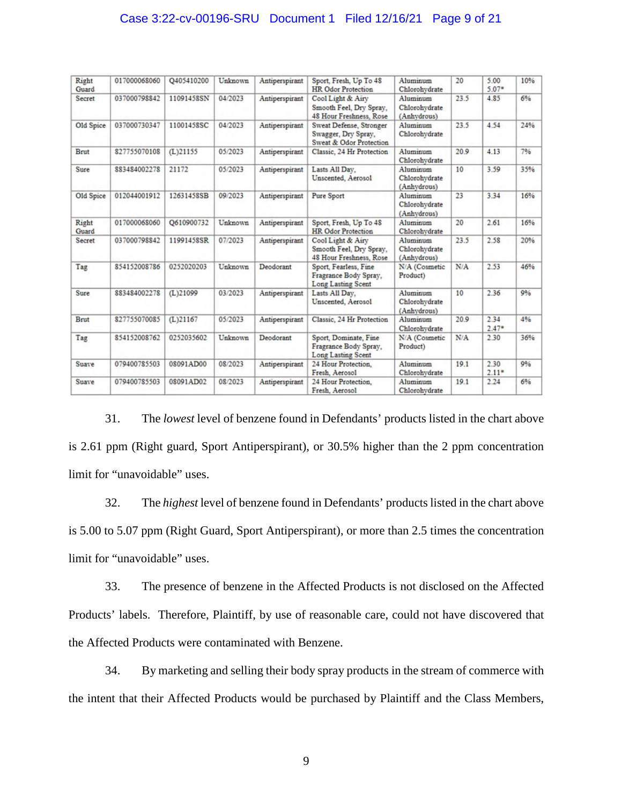# Case 3:22-cv-00196-SRU Document 1 Filed 12/16/21 Page 9 of 21

| Right<br>Guard | 017000068060 | O405410200  | Unknown | Antiperspirant | Sport, Fresh, Up To 48<br><b>HR</b> Odor Protection                       | Aluminum<br>Chlorohydrate                | 20   | 5.00<br>$5.07*$ | 10% |
|----------------|--------------|-------------|---------|----------------|---------------------------------------------------------------------------|------------------------------------------|------|-----------------|-----|
| Secret         | 037000798842 | 11091458SN  | 04/2023 | Antiperspirant | Cool Light & Airy<br>Smooth Feel, Dry Spray,<br>48 Hour Freshness, Rose   | Aluminum<br>Chlorohydrate<br>(Anhydrous) | 23.5 | 4.85            | 6%  |
| Old Spice      | 037000730347 | 11001458SC  | 04/2023 | Antiperspirant | Sweat Defense, Stronger<br>Swagger, Dry Spray,<br>Sweat & Odor Protection | Aluminum<br>Chlorohydrate                | 23.5 | 4.54            | 24% |
| Brut           | 827755070108 | $(L)$ 21155 | 05/2023 | Antiperspirant | Classic, 24 Hr Protection                                                 | Aluminum<br>Chlorohydrate                | 20.9 | 4.13            | 796 |
| Sure           | 883484002278 | 21172       | 05/2023 | Antiperspirant | Lasts All Day,<br>Unscented, Aerosol                                      | Aluminum<br>Chlorohydrate<br>(Anhydrous) | 10   | 3.59            | 35% |
| Old Spice      | 012044001912 | 12631458SB  | 09/2023 | Antiperspirant | Pure Sport                                                                | Aluminum<br>Chlorohydrate<br>(Anhydrous) | 23   | 3.34            | 16% |
| Right<br>Guard | 017000068060 | O610900732  | Unknown | Antiperspirant | Sport, Fresh, Up To 48<br><b>HR</b> Odor Protection                       | Aluminum<br>Chlorohydrate                | 20   | 2.61            | 16% |
| Secret         | 037000798842 | 11991458SR  | 07/2023 | Antiperspirant | Cool Light & Airy<br>Smooth Feel, Dry Spray,<br>48 Hour Freshness, Rose   | Aluminum<br>Chlorohydrate<br>(Anhydrous) | 23.5 | 2.58            | 20% |
| Tag            | 854152008786 | 0252020203  | Unknown | Deodorant      | Sport, Fearless, Fine<br>Fragrance Body Spray,<br>Long Lasting Scent      | N/A (Cosmetic<br>Product)                | N/A  | 2.53            | 46% |
| Sure           | 883484002278 | (L)21099    | 03/2023 | Antiperspirant | Lasts All Day,<br>Unscented, Aerosol                                      | Aluminum<br>Chlorohydrate<br>(Anhydrous) | 10   | 2.36            | 9%  |
| Brut           | 827755070085 | $(L)$ 21167 | 05/2023 | Antiperspirant | Classic, 24 Hr Protection                                                 | Aluminum<br>Chlorohydrate                | 20.9 | 2.34<br>$2.47*$ | 4%  |
| Tag            | 854152008762 | 0252035602  | Unknown | Deodorant      | Sport, Dominate, Fine<br>Fragrance Body Spray.<br>Long Lasting Scent      | N/A (Cosmetic<br>Product)                | N/A  | 2.30            | 36% |
| Suave          | 079400785503 | 08091AD00   | 08/2023 | Antiperspirant | 24 Hour Protection.<br>Fresh, Aerosol                                     | Aluminum<br>Chlorohydrate                | 19.1 | 2.30<br>$2.11*$ | 9%  |
| Suave          | 079400785503 | 08091AD02   | 08/2023 | Antiperspirant | 24 Hour Protection.<br>Fresh, Aerosol                                     | Aluminum<br>Chlorohydrate                | 19.1 | 2.24            | 6%  |

31. The *lowest* level of benzene found in Defendants' products listed in the chart above is 2.61 ppm (Right guard, Sport Antiperspirant), or 30.5% higher than the 2 ppm concentration limit for "unavoidable" uses.

32. The *highest* level of benzene found in Defendants' products listed in the chart above is 5.00 to 5.07 ppm (Right Guard, Sport Antiperspirant), or more than 2.5 times the concentration limit for "unavoidable" uses.

33. The presence of benzene in the Affected Products is not disclosed on the Affected Products' labels. Therefore, Plaintiff, by use of reasonable care, could not have discovered that the Affected Products were contaminated with Benzene.

34. By marketing and selling their body spray products in the stream of commerce with the intent that their Affected Products would be purchased by Plaintiff and the Class Members,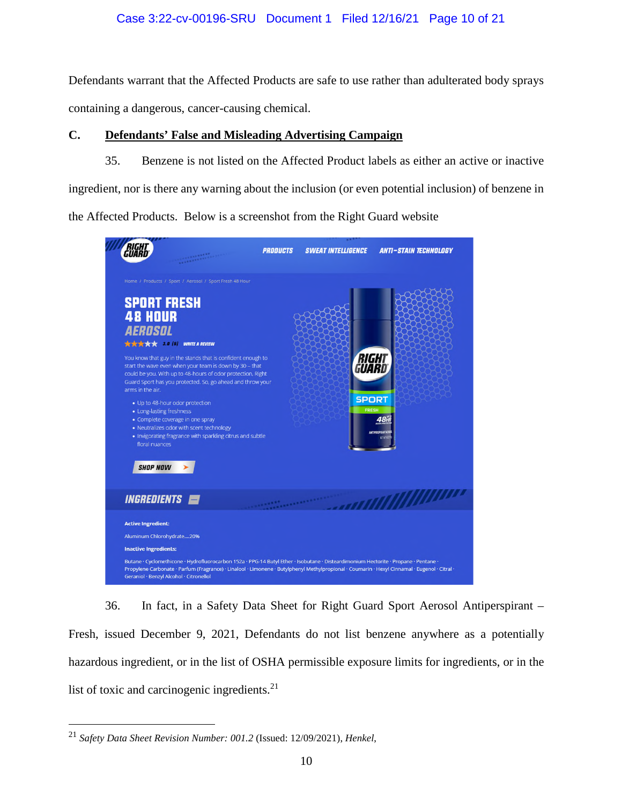# Case 3:22-cv-00196-SRU Document 1 Filed 12/16/21 Page 10 of 21

Defendants warrant that the Affected Products are safe to use rather than adulterated body sprays containing a dangerous, cancer-causing chemical.

# **C. Defendants' False and Misleading Advertising Campaign**

35. Benzene is not listed on the Affected Product labels as either an active or inactive ingredient, nor is there any warning about the inclusion (or even potential inclusion) of benzene in the Affected Products. Below is a screenshot from the Right Guard website



36. In fact, in a Safety Data Sheet for Right Guard Sport Aerosol Antiperspirant – Fresh, issued December 9, 2021, Defendants do not list benzene anywhere as a potentially hazardous ingredient, or in the list of OSHA permissible exposure limits for ingredients, or in the list of toxic and carcinogenic ingredients. $21$ 

<sup>21</sup> *Safety Data Sheet Revision Number: 001.2* (Issued: 12/09/2021), *Henkel*,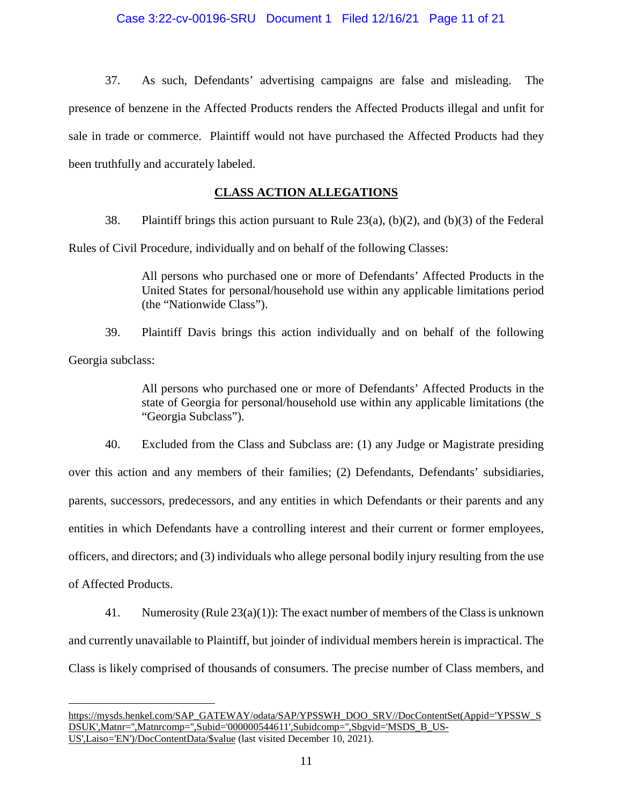# Case 3:22-cv-00196-SRU Document 1 Filed 12/16/21 Page 11 of 21

37. As such, Defendants' advertising campaigns are false and misleading. The presence of benzene in the Affected Products renders the Affected Products illegal and unfit for sale in trade or commerce. Plaintiff would not have purchased the Affected Products had they been truthfully and accurately labeled.

# **CLASS ACTION ALLEGATIONS**

38. Plaintiff brings this action pursuant to Rule 23(a), (b)(2), and (b)(3) of the Federal

Rules of Civil Procedure, individually and on behalf of the following Classes:

All persons who purchased one or more of Defendants' Affected Products in the United States for personal/household use within any applicable limitations period (the "Nationwide Class").

39. Plaintiff Davis brings this action individually and on behalf of the following Georgia subclass:

> All persons who purchased one or more of Defendants' Affected Products in the state of Georgia for personal/household use within any applicable limitations (the "Georgia Subclass").

40. Excluded from the Class and Subclass are: (1) any Judge or Magistrate presiding over this action and any members of their families; (2) Defendants, Defendants' subsidiaries, parents, successors, predecessors, and any entities in which Defendants or their parents and any entities in which Defendants have a controlling interest and their current or former employees, officers, and directors; and (3) individuals who allege personal bodily injury resulting from the use of Affected Products.

41. Numerosity (Rule 23(a)(1)): The exact number of members of the Class is unknown and currently unavailable to Plaintiff, but joinder of individual members herein is impractical. The Class is likely comprised of thousands of consumers. The precise number of Class members, and

[https://mysds.henkel.com/SAP\\_GATEWAY/odata/SAP/YPSSWH\\_DOO\\_SRV//DocContentSet\(Appid='YPSSW\\_S](https://mysds.henkel.com/SAP_GATEWAY/odata/SAP/YPSSWH_DOO_SRV/DocContentSet(Appid=) [DSUK',Matnr='',Matnrcomp='',Subid='000000544611',Subidcomp='',Sbgvid='MSDS\\_B\\_US-](https://mysds.henkel.com/SAP_GATEWAY/odata/SAP/YPSSWH_DOO_SRV/DocContentSet(Appid=)[US',Laiso='EN'\)/DocContentData/\\$value](https://mysds.henkel.com/SAP_GATEWAY/odata/SAP/YPSSWH_DOO_SRV/DocContentSet(Appid=) (last visited December 10, 2021).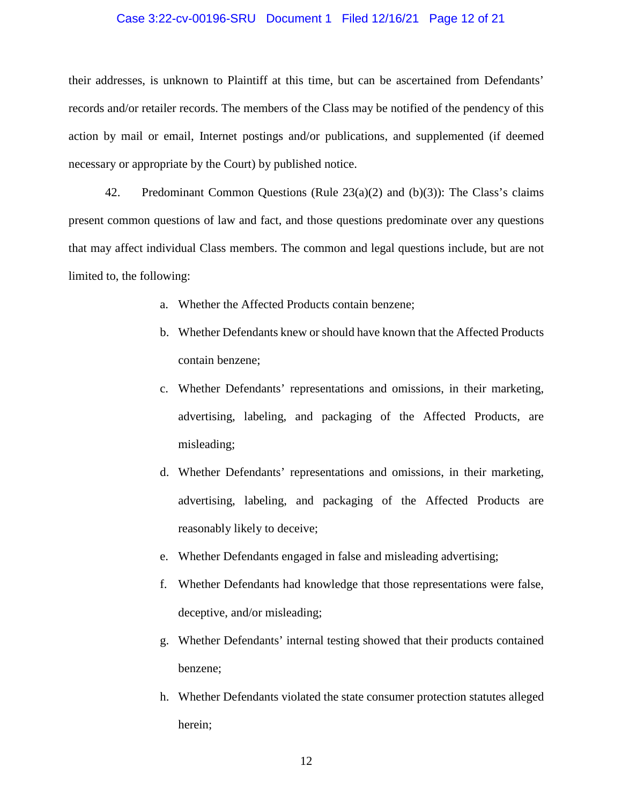### Case 3:22-cv-00196-SRU Document 1 Filed 12/16/21 Page 12 of 21

their addresses, is unknown to Plaintiff at this time, but can be ascertained from Defendants' records and/or retailer records. The members of the Class may be notified of the pendency of this action by mail or email, Internet postings and/or publications, and supplemented (if deemed necessary or appropriate by the Court) by published notice.

42. Predominant Common Questions (Rule  $23(a)(2)$  and (b)(3)): The Class's claims present common questions of law and fact, and those questions predominate over any questions that may affect individual Class members. The common and legal questions include, but are not limited to, the following:

- a. Whether the Affected Products contain benzene;
- b. Whether Defendants knew or should have known that the Affected Products contain benzene;
- c. Whether Defendants' representations and omissions, in their marketing, advertising, labeling, and packaging of the Affected Products, are misleading;
- d. Whether Defendants' representations and omissions, in their marketing, advertising, labeling, and packaging of the Affected Products are reasonably likely to deceive;
- e. Whether Defendants engaged in false and misleading advertising;
- f. Whether Defendants had knowledge that those representations were false, deceptive, and/or misleading;
- g. Whether Defendants' internal testing showed that their products contained benzene;
- h. Whether Defendants violated the state consumer protection statutes alleged herein;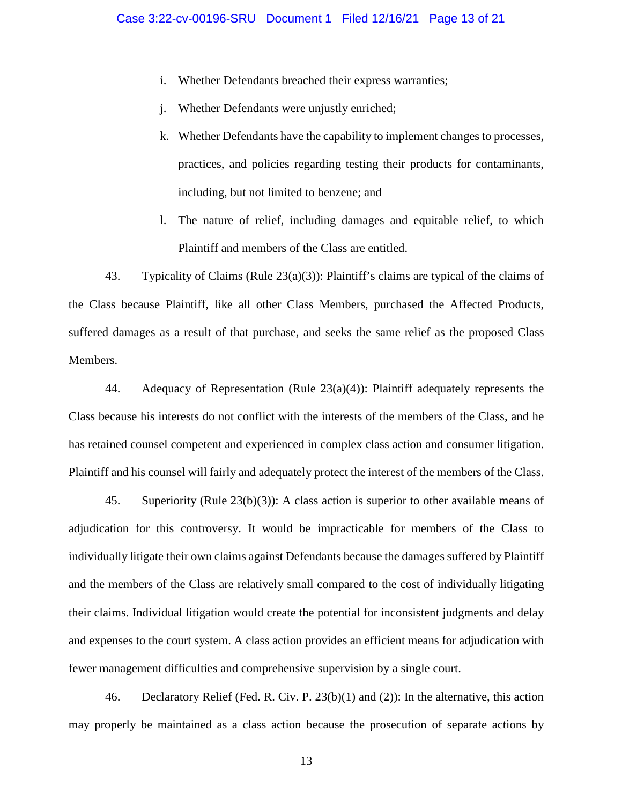- i. Whether Defendants breached their express warranties;
- j. Whether Defendants were unjustly enriched;
- k. Whether Defendants have the capability to implement changes to processes, practices, and policies regarding testing their products for contaminants, including, but not limited to benzene; and
- l. The nature of relief, including damages and equitable relief, to which Plaintiff and members of the Class are entitled.

43. Typicality of Claims (Rule 23(a)(3)): Plaintiff's claims are typical of the claims of the Class because Plaintiff, like all other Class Members, purchased the Affected Products, suffered damages as a result of that purchase, and seeks the same relief as the proposed Class Members.

44. Adequacy of Representation (Rule 23(a)(4)): Plaintiff adequately represents the Class because his interests do not conflict with the interests of the members of the Class, and he has retained counsel competent and experienced in complex class action and consumer litigation. Plaintiff and his counsel will fairly and adequately protect the interest of the members of the Class.

45. Superiority (Rule 23(b)(3)): A class action is superior to other available means of adjudication for this controversy. It would be impracticable for members of the Class to individually litigate their own claims against Defendants because the damages suffered by Plaintiff and the members of the Class are relatively small compared to the cost of individually litigating their claims. Individual litigation would create the potential for inconsistent judgments and delay and expenses to the court system. A class action provides an efficient means for adjudication with fewer management difficulties and comprehensive supervision by a single court.

46. Declaratory Relief (Fed. R. Civ. P. 23(b)(1) and (2)): In the alternative, this action may properly be maintained as a class action because the prosecution of separate actions by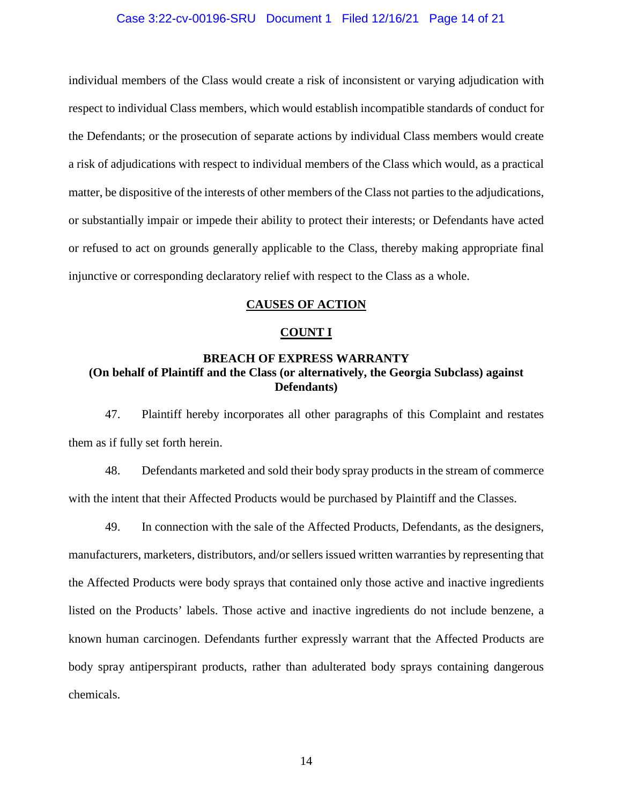### Case 3:22-cv-00196-SRU Document 1 Filed 12/16/21 Page 14 of 21

individual members of the Class would create a risk of inconsistent or varying adjudication with respect to individual Class members, which would establish incompatible standards of conduct for the Defendants; or the prosecution of separate actions by individual Class members would create a risk of adjudications with respect to individual members of the Class which would, as a practical matter, be dispositive of the interests of other members of the Class not parties to the adjudications, or substantially impair or impede their ability to protect their interests; or Defendants have acted or refused to act on grounds generally applicable to the Class, thereby making appropriate final injunctive or corresponding declaratory relief with respect to the Class as a whole.

### **CAUSES OF ACTION**

### **COUNT I**

# **BREACH OF EXPRESS WARRANTY (On behalf of Plaintiff and the Class (or alternatively, the Georgia Subclass) against Defendants)**

47. Plaintiff hereby incorporates all other paragraphs of this Complaint and restates them as if fully set forth herein.

48. Defendants marketed and sold their body spray products in the stream of commerce with the intent that their Affected Products would be purchased by Plaintiff and the Classes.

49. In connection with the sale of the Affected Products, Defendants, as the designers, manufacturers, marketers, distributors, and/or sellers issued written warranties by representing that the Affected Products were body sprays that contained only those active and inactive ingredients listed on the Products' labels. Those active and inactive ingredients do not include benzene, a known human carcinogen. Defendants further expressly warrant that the Affected Products are body spray antiperspirant products, rather than adulterated body sprays containing dangerous chemicals.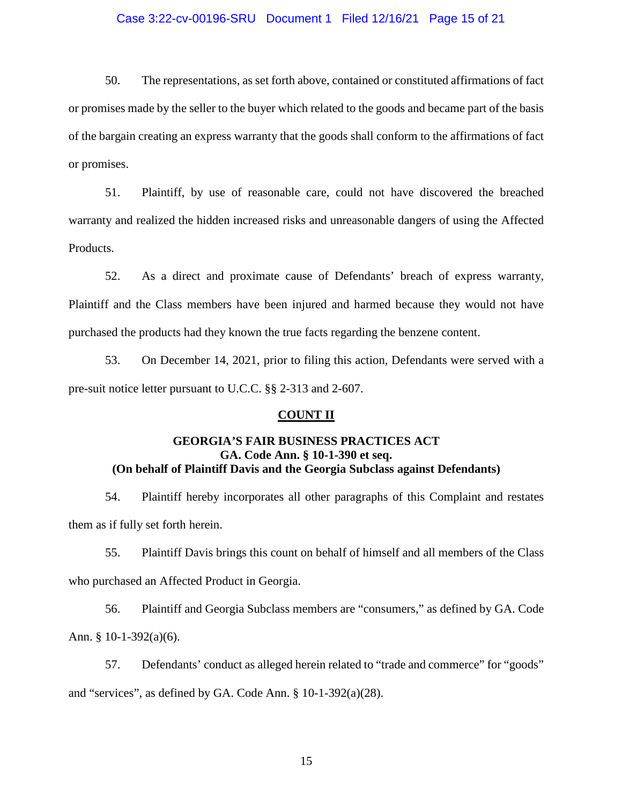### Case 3:22-cv-00196-SRU Document 1 Filed 12/16/21 Page 15 of 21

50. The representations, as set forth above, contained or constituted affirmations of fact or promises made by the seller to the buyer which related to the goods and became part of the basis of the bargain creating an express warranty that the goods shall conform to the affirmations of fact or promises.

51. Plaintiff, by use of reasonable care, could not have discovered the breached warranty and realized the hidden increased risks and unreasonable dangers of using the Affected Products.

52. As a direct and proximate cause of Defendants' breach of express warranty, Plaintiff and the Class members have been injured and harmed because they would not have purchased the products had they known the true facts regarding the benzene content.

53. On December 14, 2021, prior to filing this action, Defendants were served with a pre-suit notice letter pursuant to U.C.C. §§ 2-313 and 2-607.

#### **COUNT II**

# **GEORGIA'S FAIR BUSINESS PRACTICES ACT GA. Code Ann. § 10-1-390 et seq. (On behalf of Plaintiff Davis and the Georgia Subclass against Defendants)**

54. Plaintiff hereby incorporates all other paragraphs of this Complaint and restates them as if fully set forth herein.

55. Plaintiff Davis brings this count on behalf of himself and all members of the Class who purchased an Affected Product in Georgia.

56. Plaintiff and Georgia Subclass members are "consumers," as defined by GA. Code Ann. § 10-1-392(a)(6).

57. Defendants' conduct as alleged herein related to "trade and commerce" for "goods" and "services", as defined by GA. Code Ann. § 10-1-392(a)(28).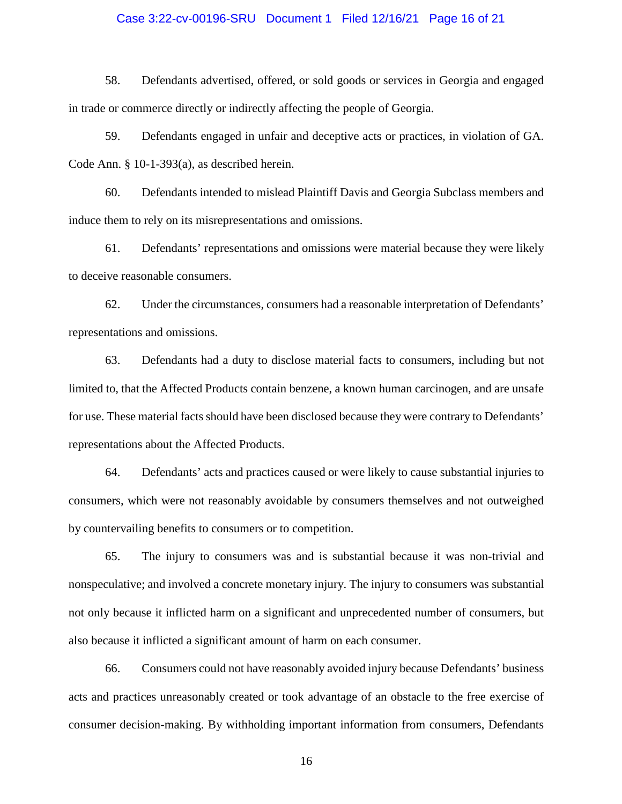### Case 3:22-cv-00196-SRU Document 1 Filed 12/16/21 Page 16 of 21

58. Defendants advertised, offered, or sold goods or services in Georgia and engaged in trade or commerce directly or indirectly affecting the people of Georgia.

59. Defendants engaged in unfair and deceptive acts or practices, in violation of GA. Code Ann. § 10-1-393(a), as described herein.

60. Defendants intended to mislead Plaintiff Davis and Georgia Subclass members and induce them to rely on its misrepresentations and omissions.

61. Defendants' representations and omissions were material because they were likely to deceive reasonable consumers.

62. Under the circumstances, consumers had a reasonable interpretation of Defendants' representations and omissions.

63. Defendants had a duty to disclose material facts to consumers, including but not limited to, that the Affected Products contain benzene, a known human carcinogen, and are unsafe for use. These material facts should have been disclosed because they were contrary to Defendants' representations about the Affected Products.

64. Defendants' acts and practices caused or were likely to cause substantial injuries to consumers, which were not reasonably avoidable by consumers themselves and not outweighed by countervailing benefits to consumers or to competition.

65. The injury to consumers was and is substantial because it was non-trivial and nonspeculative; and involved a concrete monetary injury. The injury to consumers was substantial not only because it inflicted harm on a significant and unprecedented number of consumers, but also because it inflicted a significant amount of harm on each consumer.

66. Consumers could not have reasonably avoided injury because Defendants' business acts and practices unreasonably created or took advantage of an obstacle to the free exercise of consumer decision-making. By withholding important information from consumers, Defendants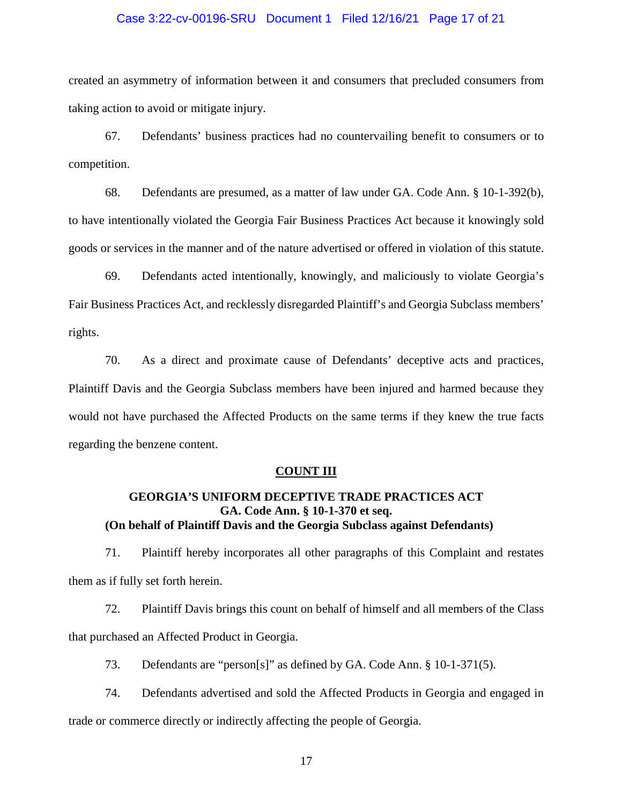### Case 3:22-cv-00196-SRU Document 1 Filed 12/16/21 Page 17 of 21

created an asymmetry of information between it and consumers that precluded consumers from taking action to avoid or mitigate injury.

67. Defendants' business practices had no countervailing benefit to consumers or to competition.

68. Defendants are presumed, as a matter of law under GA. Code Ann. § 10-1-392(b), to have intentionally violated the Georgia Fair Business Practices Act because it knowingly sold goods or services in the manner and of the nature advertised or offered in violation of this statute.

69. Defendants acted intentionally, knowingly, and maliciously to violate Georgia's Fair Business Practices Act, and recklessly disregarded Plaintiff's and Georgia Subclass members' rights.

70. As a direct and proximate cause of Defendants' deceptive acts and practices, Plaintiff Davis and the Georgia Subclass members have been injured and harmed because they would not have purchased the Affected Products on the same terms if they knew the true facts regarding the benzene content.

### **COUNT III**

# **GEORGIA'S UNIFORM DECEPTIVE TRADE PRACTICES ACT GA. Code Ann. § 10-1-370 et seq. (On behalf of Plaintiff Davis and the Georgia Subclass against Defendants)**

71. Plaintiff hereby incorporates all other paragraphs of this Complaint and restates them as if fully set forth herein.

72. Plaintiff Davis brings this count on behalf of himself and all members of the Class that purchased an Affected Product in Georgia.

73. Defendants are "person[s]" as defined by GA. Code Ann. § 10-1-371(5).

74. Defendants advertised and sold the Affected Products in Georgia and engaged in

trade or commerce directly or indirectly affecting the people of Georgia.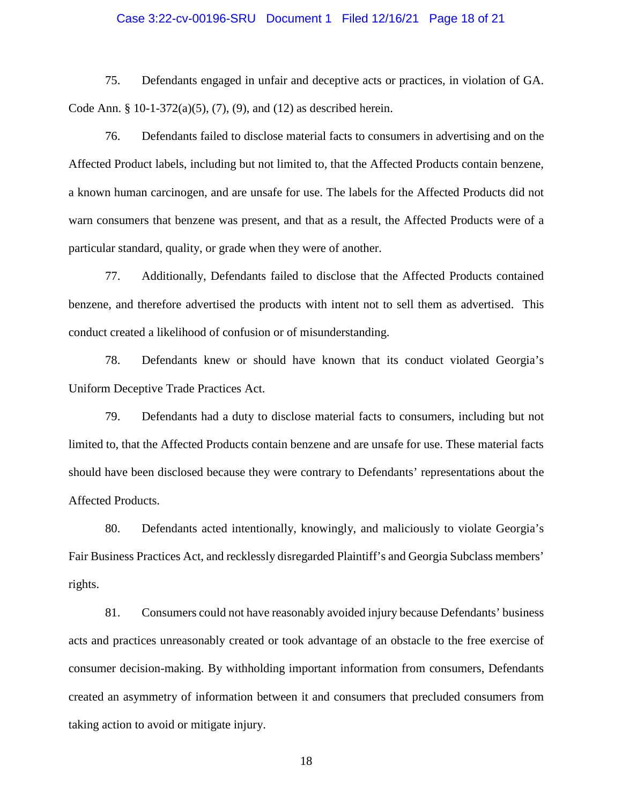### Case 3:22-cv-00196-SRU Document 1 Filed 12/16/21 Page 18 of 21

75. Defendants engaged in unfair and deceptive acts or practices, in violation of GA. Code Ann. § 10-1-372(a)(5), (7), (9), and (12) as described herein.

76. Defendants failed to disclose material facts to consumers in advertising and on the Affected Product labels, including but not limited to, that the Affected Products contain benzene, a known human carcinogen, and are unsafe for use. The labels for the Affected Products did not warn consumers that benzene was present, and that as a result, the Affected Products were of a particular standard, quality, or grade when they were of another.

77. Additionally, Defendants failed to disclose that the Affected Products contained benzene, and therefore advertised the products with intent not to sell them as advertised. This conduct created a likelihood of confusion or of misunderstanding.

78. Defendants knew or should have known that its conduct violated Georgia's Uniform Deceptive Trade Practices Act.

79. Defendants had a duty to disclose material facts to consumers, including but not limited to, that the Affected Products contain benzene and are unsafe for use. These material facts should have been disclosed because they were contrary to Defendants' representations about the Affected Products.

80. Defendants acted intentionally, knowingly, and maliciously to violate Georgia's Fair Business Practices Act, and recklessly disregarded Plaintiff's and Georgia Subclass members' rights.

81. Consumers could not have reasonably avoided injury because Defendants' business acts and practices unreasonably created or took advantage of an obstacle to the free exercise of consumer decision-making. By withholding important information from consumers, Defendants created an asymmetry of information between it and consumers that precluded consumers from taking action to avoid or mitigate injury.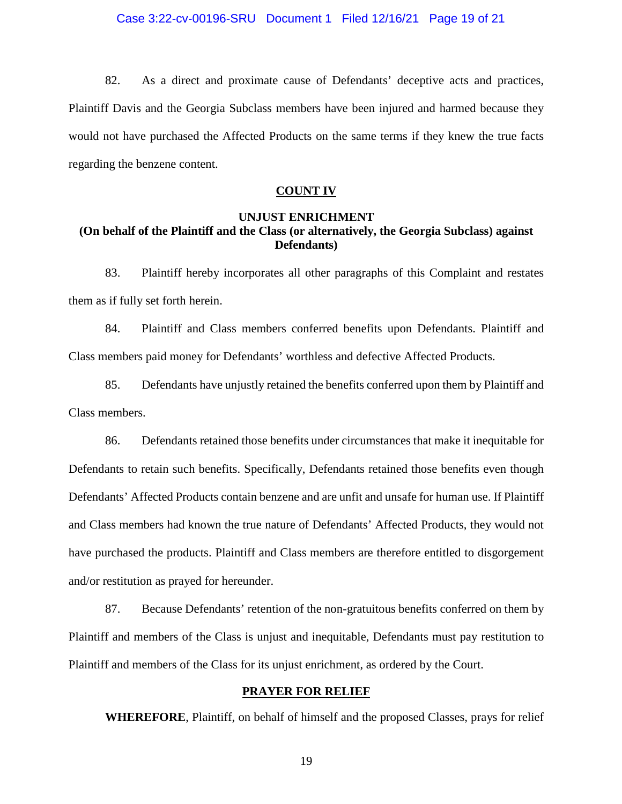82. As a direct and proximate cause of Defendants' deceptive acts and practices, Plaintiff Davis and the Georgia Subclass members have been injured and harmed because they would not have purchased the Affected Products on the same terms if they knew the true facts regarding the benzene content.

### **COUNT IV**

# **UNJUST ENRICHMENT (On behalf of the Plaintiff and the Class (or alternatively, the Georgia Subclass) against Defendants)**

83. Plaintiff hereby incorporates all other paragraphs of this Complaint and restates them as if fully set forth herein.

84. Plaintiff and Class members conferred benefits upon Defendants. Plaintiff and Class members paid money for Defendants' worthless and defective Affected Products.

85. Defendants have unjustly retained the benefits conferred upon them by Plaintiff and Class members.

86. Defendants retained those benefits under circumstances that make it inequitable for Defendants to retain such benefits. Specifically, Defendants retained those benefits even though Defendants' Affected Products contain benzene and are unfit and unsafe for human use. If Plaintiff and Class members had known the true nature of Defendants' Affected Products, they would not have purchased the products. Plaintiff and Class members are therefore entitled to disgorgement and/or restitution as prayed for hereunder.

87. Because Defendants' retention of the non-gratuitous benefits conferred on them by Plaintiff and members of the Class is unjust and inequitable, Defendants must pay restitution to Plaintiff and members of the Class for its unjust enrichment, as ordered by the Court.

### **PRAYER FOR RELIEF**

**WHEREFORE**, Plaintiff, on behalf of himself and the proposed Classes, prays for relief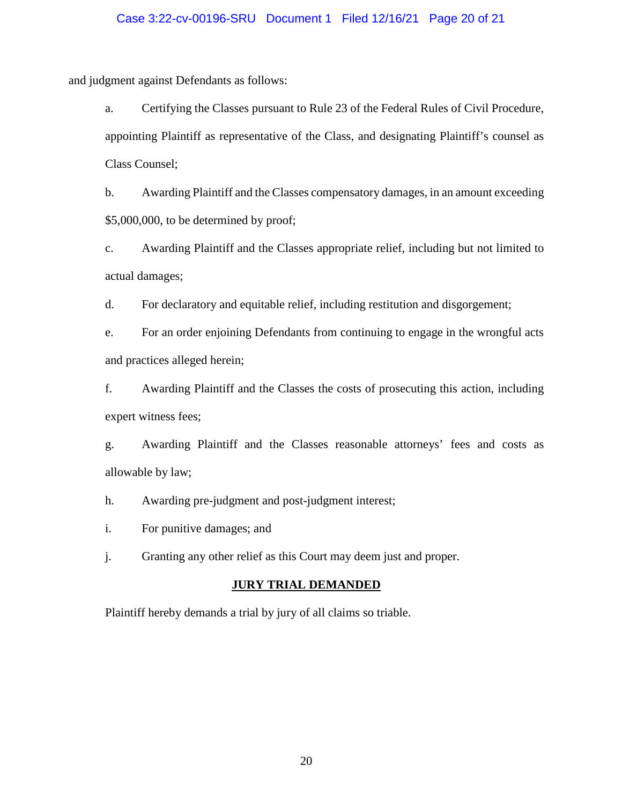### Case 3:22-cv-00196-SRU Document 1 Filed 12/16/21 Page 20 of 21

and judgment against Defendants as follows:

a. Certifying the Classes pursuant to Rule 23 of the Federal Rules of Civil Procedure, appointing Plaintiff as representative of the Class, and designating Plaintiff's counsel as Class Counsel;

b. Awarding Plaintiff and the Classes compensatory damages, in an amount exceeding \$5,000,000, to be determined by proof;

c. Awarding Plaintiff and the Classes appropriate relief, including but not limited to actual damages;

d. For declaratory and equitable relief, including restitution and disgorgement;

e. For an order enjoining Defendants from continuing to engage in the wrongful acts and practices alleged herein;

f. Awarding Plaintiff and the Classes the costs of prosecuting this action, including expert witness fees;

g. Awarding Plaintiff and the Classes reasonable attorneys' fees and costs as allowable by law;

h. Awarding pre-judgment and post-judgment interest;

i. For punitive damages; and

j. Granting any other relief as this Court may deem just and proper.

#### **JURY TRIAL DEMANDED**

Plaintiff hereby demands a trial by jury of all claims so triable.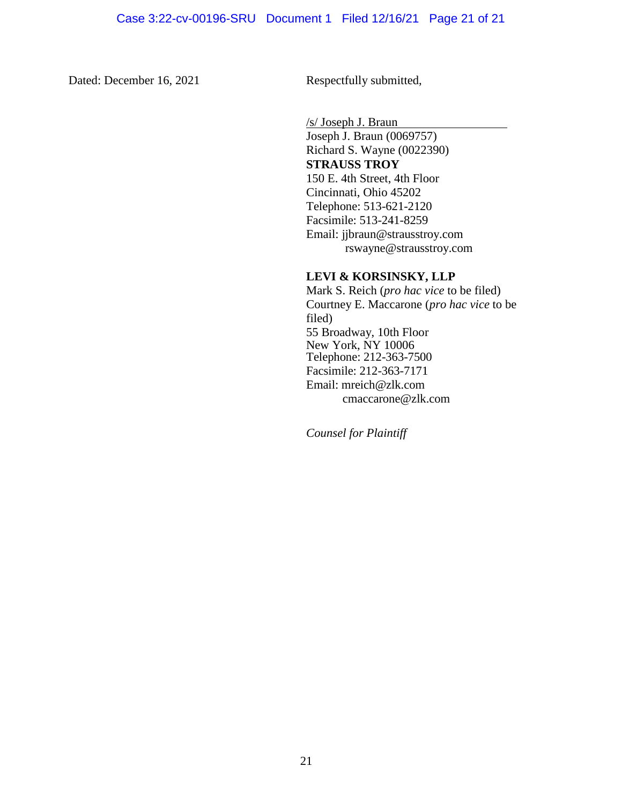Dated: December 16, 2021 Respectfully submitted,

/s/ Joseph J. Braun Joseph J. Braun (0069757) Richard S. Wayne (0022390) **STRAUSS TROY**  150 E. 4th Street, 4th Floor Cincinnati, Ohio 45202 Telephone: 513-621-2120 Facsimile: 513-241-8259 Email: [jjbraun@strausstroy.com](mailto:jjbraun@strausstroy.com) rswayne@strausstroy.com

# **LEVI & KORSINSKY, LLP**

Mark S. Reich (*pro hac vice* to be filed) Courtney E. Maccarone (*pro hac vice* to be filed) 55 Broadway, 10th Floor New York, NY 10006 Telephone: 212-363-7500 Facsimile: 212-363-7171 Email: mreich@zlk.com cmaccarone@zlk.com

*Counsel for Plaintiff*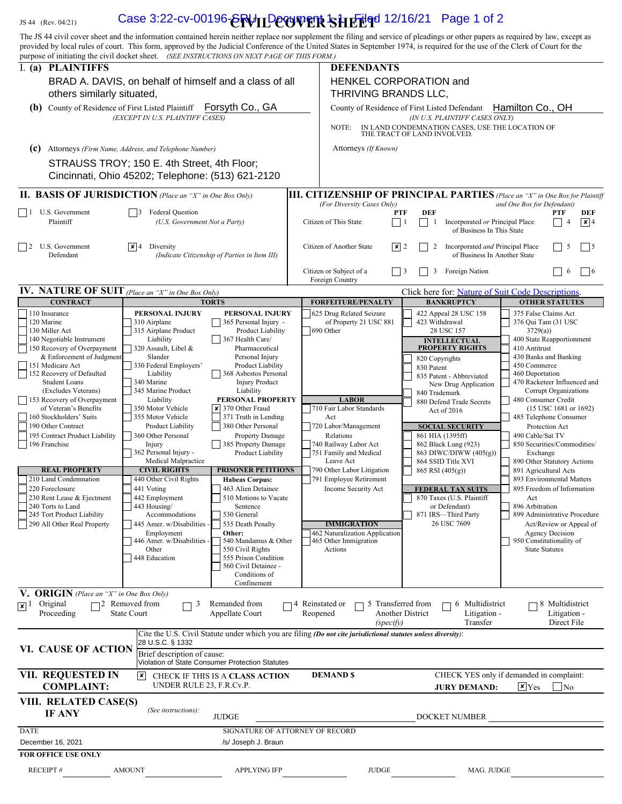# JS 44 (Rev. 04/21) **Case 3:22-cv-00196-@RVILD@@WETR SHETUGd 12/16/21** Page 1 of 2

| The JS 44 civil cover sheet and the information contained herein neither replace nor supplement the filing and service of pleadings or other papers as required by law, except as<br>provided by local rules of court. This form, approved by the Judicial Conference of the United States in September 1974, is required for the use of the Clerk of Court for the |                                                                                                  |                                                                       |                                                                   |                                                                                                                |                          |                                                                                   |                                                             |                                                |                |
|---------------------------------------------------------------------------------------------------------------------------------------------------------------------------------------------------------------------------------------------------------------------------------------------------------------------------------------------------------------------|--------------------------------------------------------------------------------------------------|-----------------------------------------------------------------------|-------------------------------------------------------------------|----------------------------------------------------------------------------------------------------------------|--------------------------|-----------------------------------------------------------------------------------|-------------------------------------------------------------|------------------------------------------------|----------------|
| purpose of initiating the civil docket sheet. (SEE INSTRUCTIONS ON NEXT PAGE OF THIS FORM.)                                                                                                                                                                                                                                                                         |                                                                                                  |                                                                       |                                                                   |                                                                                                                |                          |                                                                                   |                                                             |                                                |                |
| I. (a) PLAINTIFFS<br>others similarly situated,                                                                                                                                                                                                                                                                                                                     | BRAD A. DAVIS, on behalf of himself and a class of all                                           | <b>DEFENDANTS</b><br>HENKEL CORPORATION and<br>THRIVING BRANDS LLC,   |                                                                   |                                                                                                                |                          |                                                                                   |                                                             |                                                |                |
| (b) County of Residence of First Listed Plaintiff                                                                                                                                                                                                                                                                                                                   |                                                                                                  | Forsyth Co., GA                                                       |                                                                   | County of Residence of First Listed Defendant                                                                  |                          |                                                                                   | Hamilton Co., OH                                            |                                                |                |
|                                                                                                                                                                                                                                                                                                                                                                     | (EXCEPT IN U.S. PLAINTIFF CASES)                                                                 |                                                                       |                                                                   | NOTE:                                                                                                          |                          | (IN U.S. PLAINTIFF CASES ONLY)<br>IN LAND CONDEMNATION CASES, USE THE LOCATION OF |                                                             |                                                |                |
| (c)                                                                                                                                                                                                                                                                                                                                                                 | Attorneys (Firm Name, Address, and Telephone Number)                                             |                                                                       | THE TRACT OF LAND INVOLVED.<br>Attorneys (If Known)               |                                                                                                                |                          |                                                                                   |                                                             |                                                |                |
|                                                                                                                                                                                                                                                                                                                                                                     | STRAUSS TROY; 150 E. 4th Street, 4th Floor;<br>Cincinnati, Ohio 45202; Telephone: (513) 621-2120 |                                                                       |                                                                   |                                                                                                                |                          |                                                                                   |                                                             |                                                |                |
| <b>II. BASIS OF JURISDICTION</b> (Place an "X" in One Box Only)                                                                                                                                                                                                                                                                                                     |                                                                                                  |                                                                       |                                                                   | <b>III. CITIZENSHIP OF PRINCIPAL PARTIES</b> (Place an "X" in One Box for Plaintiff                            |                          |                                                                                   |                                                             |                                                |                |
| U.S. Government<br>$\vert$ $\vert$ 1                                                                                                                                                                                                                                                                                                                                | 3 Federal Question                                                                               |                                                                       |                                                                   | (For Diversity Cases Only)                                                                                     | <b>DEF</b><br><b>PTF</b> |                                                                                   | and One Box for Defendant)                                  | PTF                                            | DEF            |
| Plaintiff                                                                                                                                                                                                                                                                                                                                                           | (U.S. Government Not a Party)                                                                    |                                                                       |                                                                   | Citizen of This State                                                                                          | $\Box$<br>-1             | Incorporated or Principal Place<br>of Business In This State                      |                                                             | $\overline{4}$                                 | $\mathbf{x}$ 4 |
| U.S. Government<br>$\vert$ 12<br>Defendant                                                                                                                                                                                                                                                                                                                          | $ \mathbf{x} $ 4 Diversity<br>(Indicate Citizenship of Parties in Item III)                      |                                                                       |                                                                   | Citizen of Another State<br>$ \mathbf{x} $ 2                                                                   | 2                        | Incorporated and Principal Place<br>of Business In Another State                  |                                                             | 5                                              | $\vert$ 5      |
|                                                                                                                                                                                                                                                                                                                                                                     |                                                                                                  |                                                                       | Citizen or Subject of a<br>Foreign Nation<br>3<br>Foreign Country |                                                                                                                |                          |                                                                                   |                                                             | 6                                              | $\vert$   6    |
| <b>IV.</b> NATURE OF SUIT (Place an "X" in One Box Only)                                                                                                                                                                                                                                                                                                            |                                                                                                  |                                                                       |                                                                   |                                                                                                                |                          | Click here for: Nature of Suit Code Descriptions.                                 |                                                             |                                                |                |
| <b>CONTRACT</b><br>110 Insurance                                                                                                                                                                                                                                                                                                                                    | PERSONAL INJURY                                                                                  | <b>TORTS</b><br>PERSONAL INJURY                                       |                                                                   | FORFEITURE/PENALTY<br>625 Drug Related Seizure                                                                 |                          | <b>BANKRUPTCY</b><br>422 Appeal 28 USC 158                                        | 375 False Claims Act                                        | <b>OTHER STATUTES</b>                          |                |
| 120 Marine<br>130 Miller Act<br>140 Negotiable Instrument                                                                                                                                                                                                                                                                                                           | 310 Airplane<br>315 Airplane Product<br>Liability                                                | 365 Personal Injury -<br><b>Product Liability</b><br>367 Health Care/ | of Property 21 USC 881<br>690 Other                               |                                                                                                                |                          | 423 Withdrawal<br>28 USC 157<br><b>INTELLECTUAL</b>                               | 376 Qui Tam (31 USC<br>3729(a)<br>400 State Reapportionment |                                                |                |
| 150 Recovery of Overpayment                                                                                                                                                                                                                                                                                                                                         | 320 Assault, Libel &                                                                             | Pharmaceutical                                                        |                                                                   |                                                                                                                |                          | <b>PROPERTY RIGHTS</b>                                                            | 410 Antitrust                                               |                                                |                |
| & Enforcement of Judgment<br>151 Medicare Act                                                                                                                                                                                                                                                                                                                       | Slander<br>330 Federal Employers'                                                                | Personal Injury<br><b>Product Liability</b>                           |                                                                   |                                                                                                                | 830 Patent               | 820 Copyrights                                                                    | 430 Banks and Banking<br>450 Commerce                       |                                                |                |
| 152 Recovery of Defaulted<br><b>Student Loans</b>                                                                                                                                                                                                                                                                                                                   | Liability<br>340 Marine                                                                          | 368 Asbestos Personal<br><b>Injury Product</b>                        |                                                                   |                                                                                                                |                          | 835 Patent - Abbreviated                                                          | 460 Deportation<br>470 Racketeer Influenced and             |                                                |                |
| (Excludes Veterans)                                                                                                                                                                                                                                                                                                                                                 | 345 Marine Product                                                                               | Liability                                                             |                                                                   |                                                                                                                |                          | New Drug Application<br>840 Trademark                                             |                                                             | Corrupt Organizations                          |                |
| 153 Recovery of Overpayment<br>of Veteran's Benefits                                                                                                                                                                                                                                                                                                                | Liability<br>350 Motor Vehicle                                                                   | PERSONAL PROPERTY<br>$\boldsymbol{\times}$ 370 Other Fraud            |                                                                   | <b>LABOR</b><br>710 Fair Labor Standards                                                                       |                          | 880 Defend Trade Secrets<br>Act of 2016                                           | 480 Consumer Credit                                         | $(15$ USC 1681 or 1692)                        |                |
| 160 Stockholders' Suits                                                                                                                                                                                                                                                                                                                                             | 355 Motor Vehicle                                                                                | 371 Truth in Lending                                                  |                                                                   | Act                                                                                                            |                          |                                                                                   | 485 Telephone Consumer                                      |                                                |                |
| 190 Other Contract<br>195 Contract Product Liability                                                                                                                                                                                                                                                                                                                | Product Liability<br>360 Other Personal                                                          | 380 Other Personal<br><b>Property Damage</b>                          |                                                                   | 720 Labor/Management<br>Relations                                                                              |                          | <b>SOCIAL SECURITY</b><br>861 HIA (1395ff)                                        | 490 Cable/Sat TV                                            | Protection Act                                 |                |
| 196 Franchise                                                                                                                                                                                                                                                                                                                                                       | Injury<br>362 Personal Injury -                                                                  | 385 Property Damage<br>Product Liability                              |                                                                   | 740 Railway Labor Act<br>751 Family and Medical                                                                |                          | 862 Black Lung (923)<br>863 DIWC/DIWW (405(g))                                    | 850 Securities/Commodities/<br>Exchange                     |                                                |                |
|                                                                                                                                                                                                                                                                                                                                                                     | Medical Malpractice                                                                              |                                                                       |                                                                   | Leave Act                                                                                                      |                          | 864 SSID Title XVI                                                                | 890 Other Statutory Actions                                 |                                                |                |
| <b>REAL PROPERTY</b><br>210 Land Condemnation                                                                                                                                                                                                                                                                                                                       | <b>CIVIL RIGHTS</b><br>440 Other Civil Rights                                                    | <b>PRISONER PETITIONS</b><br><b>Habeas Corpus:</b>                    |                                                                   | 790 Other Labor Litigation<br>791 Employee Retirement                                                          |                          | 865 RSI (405(g))                                                                  | 891 Agricultural Acts<br>893 Environmental Matters          |                                                |                |
| 220 Foreclosure                                                                                                                                                                                                                                                                                                                                                     | 441 Voting                                                                                       | 463 Alien Detainee                                                    |                                                                   | Income Security Act                                                                                            |                          | <b>FEDERAL TAX SUITS</b>                                                          | 895 Freedom of Information                                  |                                                |                |
| 230 Rent Lease & Ejectment<br>240 Torts to Land                                                                                                                                                                                                                                                                                                                     | 442 Employment<br>443 Housing/                                                                   | 510 Motions to Vacate<br>Sentence                                     |                                                                   |                                                                                                                |                          | 870 Taxes (U.S. Plaintiff<br>or Defendant)                                        | Act<br>896 Arbitration                                      |                                                |                |
| 245 Tort Product Liability<br>290 All Other Real Property                                                                                                                                                                                                                                                                                                           | Accommodations<br>445 Amer. w/Disabilities -                                                     | 530 General<br>535 Death Penalty                                      |                                                                   | <b>IMMIGRATION</b>                                                                                             |                          | 871 IRS-Third Party<br>26 USC 7609                                                | 899 Administrative Procedure                                | Act/Review or Appeal of                        |                |
|                                                                                                                                                                                                                                                                                                                                                                     | Employment                                                                                       | Other:                                                                |                                                                   | 462 Naturalization Application                                                                                 |                          |                                                                                   |                                                             | <b>Agency Decision</b>                         |                |
|                                                                                                                                                                                                                                                                                                                                                                     | 446 Amer. w/Disabilities -<br>Other                                                              | 540 Mandamus & Other<br>550 Civil Rights                              |                                                                   | 465 Other Immigration<br>Actions                                                                               |                          |                                                                                   | 950 Constitutionality of<br><b>State Statutes</b>           |                                                |                |
|                                                                                                                                                                                                                                                                                                                                                                     | 448 Education                                                                                    | 555 Prison Condition<br>560 Civil Detainee -                          |                                                                   |                                                                                                                |                          |                                                                                   |                                                             |                                                |                |
|                                                                                                                                                                                                                                                                                                                                                                     |                                                                                                  | Conditions of<br>Confinement                                          |                                                                   |                                                                                                                |                          |                                                                                   |                                                             |                                                |                |
| V. ORIGIN (Place an "X" in One Box Only)                                                                                                                                                                                                                                                                                                                            |                                                                                                  |                                                                       |                                                                   |                                                                                                                |                          |                                                                                   |                                                             |                                                |                |
| Original<br>$\sqrt{x}$ <sup>1</sup><br>Proceeding                                                                                                                                                                                                                                                                                                                   | $\Box$ 2 Removed from<br>3<br><b>State Court</b>                                                 | Remanded from<br>Appellate Court                                      |                                                                   | Reinstated or<br>5 Transferred from<br>Reopened<br>(specify)                                                   | Another District         | 6 Multidistrict<br>Litigation -<br>Transfer                                       |                                                             | 8 Multidistrict<br>Litigation -<br>Direct File |                |
|                                                                                                                                                                                                                                                                                                                                                                     | 28 U.S.C. § 1332                                                                                 |                                                                       |                                                                   | Cite the U.S. Civil Statute under which you are filing (Do not cite jurisdictional statutes unless diversity): |                          |                                                                                   |                                                             |                                                |                |
| VI. CAUSE OF ACTION                                                                                                                                                                                                                                                                                                                                                 | Brief description of cause:                                                                      | Violation of State Consumer Protection Statutes                       |                                                                   |                                                                                                                |                          |                                                                                   |                                                             |                                                |                |
| VII. REQUESTED IN<br>CHECK YES only if demanded in complaint:<br><b>DEMAND \$</b><br> x <br>CHECK IF THIS IS A CLASS ACTION<br><b>COMPLAINT:</b><br>UNDER RULE 23, F.R.Cv.P.<br>$\times$ Yes<br><b>JURY DEMAND:</b>                                                                                                                                                 |                                                                                                  |                                                                       |                                                                   |                                                                                                                |                          |                                                                                   | $\overline{\phantom{a}}$ No                                 |                                                |                |
| VIII. RELATED CASE(S)<br><b>IF ANY</b>                                                                                                                                                                                                                                                                                                                              | (See instructions):                                                                              | <b>JUDGE</b>                                                          |                                                                   |                                                                                                                |                          | DOCKET NUMBER                                                                     |                                                             |                                                |                |
| <b>DATE</b>                                                                                                                                                                                                                                                                                                                                                         |                                                                                                  | SIGNATURE OF ATTORNEY OF RECORD                                       |                                                                   |                                                                                                                |                          |                                                                                   |                                                             |                                                |                |
| December 16, 2021                                                                                                                                                                                                                                                                                                                                                   |                                                                                                  | /s/ Joseph J. Braun                                                   |                                                                   |                                                                                                                |                          |                                                                                   |                                                             |                                                |                |
| <b>FOR OFFICE USE ONLY</b>                                                                                                                                                                                                                                                                                                                                          |                                                                                                  |                                                                       |                                                                   |                                                                                                                |                          |                                                                                   |                                                             |                                                |                |
| <b>RECEIPT#</b>                                                                                                                                                                                                                                                                                                                                                     | <b>AMOUNT</b>                                                                                    | <b>APPLYING IFP</b>                                                   |                                                                   | <b>JUDGE</b>                                                                                                   |                          | MAG. JUDGE                                                                        |                                                             |                                                |                |